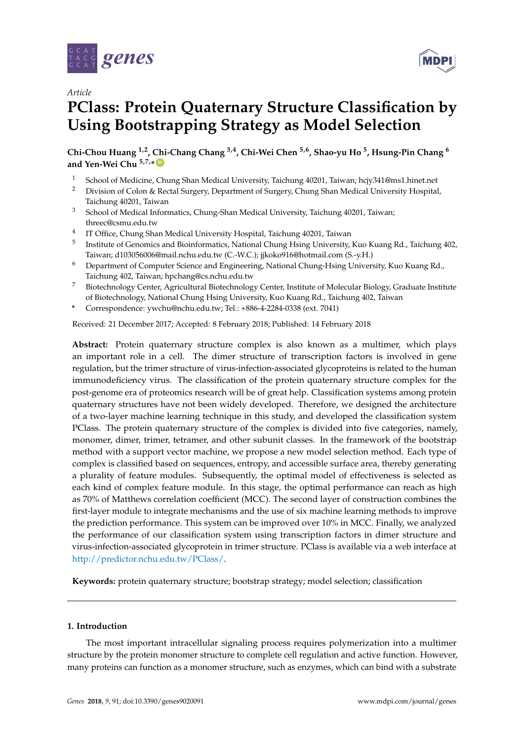



# **PClass: Protein Quaternary Structure Classification by Using Bootstrapping Strategy as Model Selection**

**Chi-Chou Huang 1,2, Chi-Chang Chang 3,4, Chi-Wei Chen 5,6, Shao-yu Ho <sup>5</sup> , Hsung-Pin Chang <sup>6</sup> and Yen-Wei Chu 5,7,\* [ID](https://orcid.org/0000-0002-5525-4011)**

- 1 School of Medicine, Chung Shan Medical University, Taichung 40201, Taiwan; hcjy341@ms1.hinet.net<br>2 Division of Colon & Bostal Sursony Department of Sursony Chung Shan Medical University Hospital
- <sup>2</sup> Division of Colon & Rectal Surgery, Department of Surgery, Chung Shan Medical University Hospital, Taichung 40201, Taiwan
- <sup>3</sup> School of Medical Informatics, Chung-Shan Medical University, Taichung 40201, Taiwan; threec@csmu.edu.tw
- 4 IT Office, Chung Shan Medical University Hospital, Taichung 40201, Taiwan
- <sup>5</sup> Institute of Genomics and Bioinformatics, National Chung Hsing University, Kuo Kuang Rd., Taichung 402, Taiwan; d103056006@mail.nchu.edu.tw (C.-W.C.); jjkoko916@hotmail.com (S.-y.H.)
- <sup>6</sup> Department of Computer Science and Engineering, National Chung-Hsing University, Kuo Kuang Rd., Taichung 402, Taiwan; hpchang@cs.nchu.edu.tw
- <sup>7</sup> Biotechnology Center, Agricultural Biotechnology Center, Institute of Molecular Biology, Graduate Institute of Biotechnology, National Chung Hsing University, Kuo Kuang Rd., Taichung 402, Taiwan
- **\*** Correspondence: ywchu@nchu.edu.tw; Tel.: +886-4-2284-0338 (ext. 7041)

Received: 21 December 2017; Accepted: 8 February 2018; Published: 14 February 2018

**Abstract:** Protein quaternary structure complex is also known as a multimer, which plays an important role in a cell. The dimer structure of transcription factors is involved in gene regulation, but the trimer structure of virus-infection-associated glycoproteins is related to the human immunodeficiency virus. The classification of the protein quaternary structure complex for the post-genome era of proteomics research will be of great help. Classification systems among protein quaternary structures have not been widely developed. Therefore, we designed the architecture of a two-layer machine learning technique in this study, and developed the classification system PClass. The protein quaternary structure of the complex is divided into five categories, namely, monomer, dimer, trimer, tetramer, and other subunit classes. In the framework of the bootstrap method with a support vector machine, we propose a new model selection method. Each type of complex is classified based on sequences, entropy, and accessible surface area, thereby generating a plurality of feature modules. Subsequently, the optimal model of effectiveness is selected as each kind of complex feature module. In this stage, the optimal performance can reach as high as 70% of Matthews correlation coefficient (MCC). The second layer of construction combines the first-layer module to integrate mechanisms and the use of six machine learning methods to improve the prediction performance. This system can be improved over 10% in MCC. Finally, we analyzed the performance of our classification system using transcription factors in dimer structure and virus-infection-associated glycoprotein in trimer structure. PClass is available via a web interface at [http://predictor.nchu.edu.tw/PClass/.](http://predictor.nchu.edu.tw/PClass/)

**Keywords:** protein quaternary structure; bootstrap strategy; model selection; classification

# **1. Introduction**

The most important intracellular signaling process requires polymerization into a multimer structure by the protein monomer structure to complete cell regulation and active function. However, many proteins can function as a monomer structure, such as enzymes, which can bind with a substrate

**MDPI**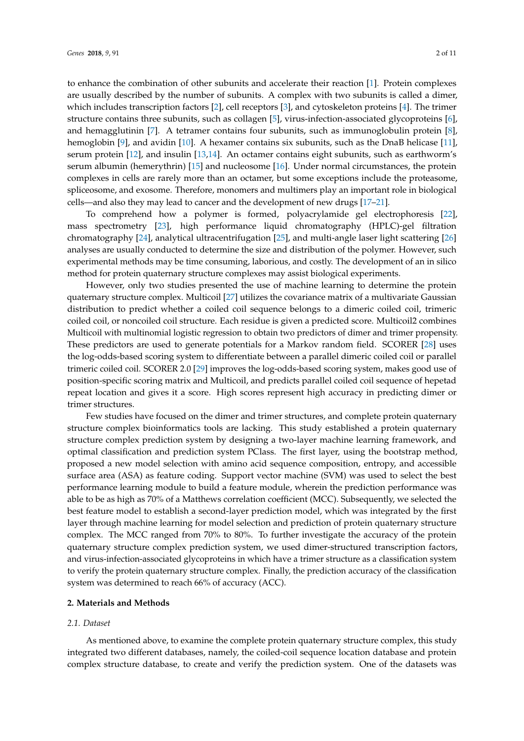to enhance the combination of other subunits and accelerate their reaction [\[1\]](#page-8-0). Protein complexes are usually described by the number of subunits. A complex with two subunits is called a dimer, which includes transcription factors [\[2\]](#page-8-1), cell receptors [\[3\]](#page-8-2), and cytoskeleton proteins [\[4\]](#page-8-3). The trimer structure contains three subunits, such as collagen [\[5\]](#page-8-4), virus-infection-associated glycoproteins [\[6\]](#page-8-5), and hemagglutinin [\[7\]](#page-8-6). A tetramer contains four subunits, such as immunoglobulin protein [\[8\]](#page-8-7), hemoglobin [\[9\]](#page-8-8), and avidin [\[10\]](#page-8-9). A hexamer contains six subunits, such as the DnaB helicase [\[11\]](#page-8-10), serum protein [\[12\]](#page-8-11), and insulin [\[13,](#page-8-12)[14\]](#page-8-13). An octamer contains eight subunits, such as earthworm's serum albumin (hemerythrin) [\[15\]](#page-8-14) and nucleosome [\[16\]](#page-8-15). Under normal circumstances, the protein complexes in cells are rarely more than an octamer, but some exceptions include the proteasome, spliceosome, and exosome. Therefore, monomers and multimers play an important role in biological cells—and also they may lead to cancer and the development of new drugs [\[17](#page-9-0)[–21\]](#page-9-1).

To comprehend how a polymer is formed, polyacrylamide gel electrophoresis [\[22\]](#page-9-2), mass spectrometry [\[23\]](#page-9-3), high performance liquid chromatography (HPLC)-gel filtration chromatography [\[24\]](#page-9-4), analytical ultracentrifugation [\[25\]](#page-9-5), and multi-angle laser light scattering [\[26\]](#page-9-6) analyses are usually conducted to determine the size and distribution of the polymer. However, such experimental methods may be time consuming, laborious, and costly. The development of an in silico method for protein quaternary structure complexes may assist biological experiments.

However, only two studies presented the use of machine learning to determine the protein quaternary structure complex. Multicoil [\[27\]](#page-9-7) utilizes the covariance matrix of a multivariate Gaussian distribution to predict whether a coiled coil sequence belongs to a dimeric coiled coil, trimeric coiled coil, or noncoiled coil structure. Each residue is given a predicted score. Multicoil2 combines Multicoil with multinomial logistic regression to obtain two predictors of dimer and trimer propensity. These predictors are used to generate potentials for a Markov random field. SCORER [\[28\]](#page-9-8) uses the log-odds-based scoring system to differentiate between a parallel dimeric coiled coil or parallel trimeric coiled coil. SCORER 2.0 [\[29\]](#page-9-9) improves the log-odds-based scoring system, makes good use of position-specific scoring matrix and Multicoil, and predicts parallel coiled coil sequence of hepetad repeat location and gives it a score. High scores represent high accuracy in predicting dimer or trimer structures.

Few studies have focused on the dimer and trimer structures, and complete protein quaternary structure complex bioinformatics tools are lacking. This study established a protein quaternary structure complex prediction system by designing a two-layer machine learning framework, and optimal classification and prediction system PClass. The first layer, using the bootstrap method, proposed a new model selection with amino acid sequence composition, entropy, and accessible surface area (ASA) as feature coding. Support vector machine (SVM) was used to select the best performance learning module to build a feature module, wherein the prediction performance was able to be as high as 70% of a Matthews correlation coefficient (MCC). Subsequently, we selected the best feature model to establish a second-layer prediction model, which was integrated by the first layer through machine learning for model selection and prediction of protein quaternary structure complex. The MCC ranged from 70% to 80%. To further investigate the accuracy of the protein quaternary structure complex prediction system, we used dimer-structured transcription factors, and virus-infection-associated glycoproteins in which have a trimer structure as a classification system to verify the protein quaternary structure complex. Finally, the prediction accuracy of the classification system was determined to reach 66% of accuracy (ACC).

# **2. Materials and Methods**

### *2.1. Dataset*

As mentioned above, to examine the complete protein quaternary structure complex, this study integrated two different databases, namely, the coiled-coil sequence location database and protein complex structure database, to create and verify the prediction system. One of the datasets was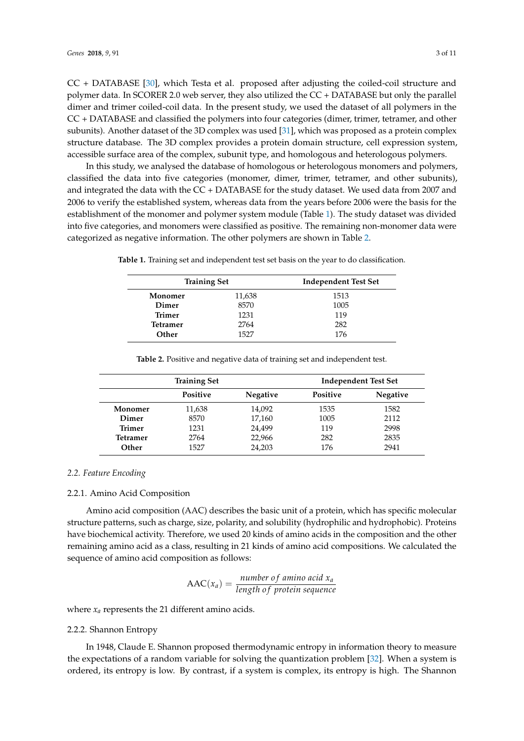CC + DATABASE [\[30\]](#page-9-10), which Testa et al. proposed after adjusting the coiled-coil structure and polymer data. In SCORER 2.0 web server, they also utilized the CC + DATABASE but only the parallel dimer and trimer coiled-coil data. In the present study, we used the dataset of all polymers in the CC + DATABASE and classified the polymers into four categories (dimer, trimer, tetramer, and other subunits). Another dataset of the 3D complex was used [\[31\]](#page-9-11), which was proposed as a protein complex structure database. The 3D complex provides a protein domain structure, cell expression system, accessible surface area of the complex, subunit type, and homologous and heterologous polymers.

In this study, we analysed the database of homologous or heterologous monomers and polymers, classified the data into five categories (monomer, dimer, trimer, tetramer, and other subunits), and integrated the data with the CC + DATABASE for the study dataset. We used data from 2007 and 2006 to verify the established system, whereas data from the years before 2006 were the basis for the establishment of the monomer and polymer system module (Table [1\)](#page-2-0). The study dataset was divided into five categories, and monomers were classified as positive. The remaining non-monomer data were categorized as negative information. The other polymers are shown in Table [2.](#page-2-1)

| <b>Training Set</b> |        | <b>Independent Test Set</b> |  |
|---------------------|--------|-----------------------------|--|
| Monomer             | 11,638 | 1513                        |  |
| Dimer               | 8570   | 1005                        |  |
| <b>Trimer</b>       | 1231   | 119                         |  |
| <b>Tetramer</b>     | 2764   | 282                         |  |
| Other               | 1527   | 176                         |  |

<span id="page-2-0"></span>**Table 1.** Training set and independent test set basis on the year to do classification.

<span id="page-2-1"></span>

| <b>Training Set</b> |                 |                 | <b>Independent Test Set</b> |                 |
|---------------------|-----------------|-----------------|-----------------------------|-----------------|
|                     | <b>Positive</b> | <b>Negative</b> | <b>Positive</b>             | <b>Negative</b> |
| Monomer             | 11,638          | 14,092          | 1535                        | 1582            |
| Dimer               | 8570            | 17,160          | 1005                        | 2112            |
| Trimer              | 1231            | 24,499          | 119                         | 2998            |
| Tetramer            | 2764            | 22,966          | 282                         | 2835            |
| Other               | 1527            | 24,203          | 176                         | 2941            |

**Table 2.** Positive and negative data of training set and independent test.

#### *2.2. Feature Encoding*

#### 2.2.1. Amino Acid Composition

Amino acid composition (AAC) describes the basic unit of a protein, which has specific molecular structure patterns, such as charge, size, polarity, and solubility (hydrophilic and hydrophobic). Proteins have biochemical activity. Therefore, we used 20 kinds of amino acids in the composition and the other remaining amino acid as a class, resulting in 21 kinds of amino acid compositions. We calculated the sequence of amino acid composition as follows:

$$
AAC(x_a) = \frac{number\ of\ amino\ acid\ x_a}{length\ of\ protein\ sequence}
$$

where  $x_a$  represents the 21 different amino acids.

#### 2.2.2. Shannon Entropy

In 1948, Claude E. Shannon proposed thermodynamic entropy in information theory to measure the expectations of a random variable for solving the quantization problem [\[32\]](#page-9-12). When a system is ordered, its entropy is low. By contrast, if a system is complex, its entropy is high. The Shannon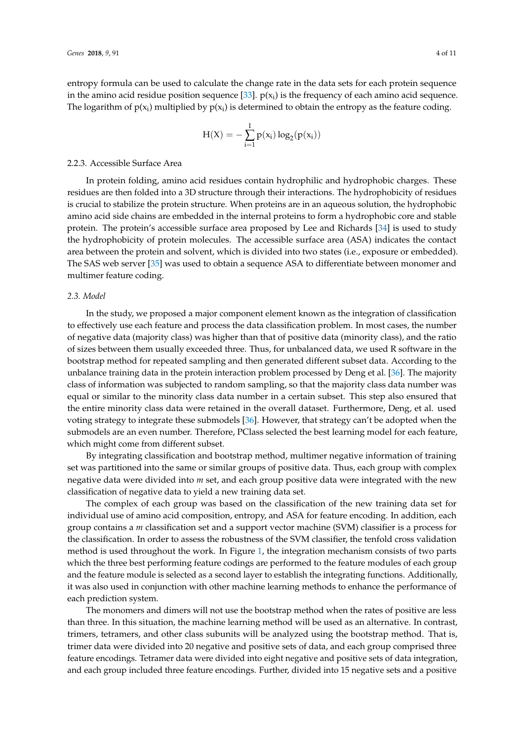entropy formula can be used to calculate the change rate in the data sets for each protein sequence in the amino acid residue position sequence [\[33\]](#page-9-13).  $p(x_i)$  is the frequency of each amino acid sequence. The logarithm of  $p(x_i)$  multiplied by  $p(x_i)$  is determined to obtain the entropy as the feature coding.

$$
H(X) = -\sum_{i=1}^{I} p(x_i) \log_2(p(x_i))
$$

#### 2.2.3. Accessible Surface Area

In protein folding, amino acid residues contain hydrophilic and hydrophobic charges. These residues are then folded into a 3D structure through their interactions. The hydrophobicity of residues is crucial to stabilize the protein structure. When proteins are in an aqueous solution, the hydrophobic amino acid side chains are embedded in the internal proteins to form a hydrophobic core and stable protein. The protein's accessible surface area proposed by Lee and Richards [\[34\]](#page-9-14) is used to study the hydrophobicity of protein molecules. The accessible surface area (ASA) indicates the contact area between the protein and solvent, which is divided into two states (i.e., exposure or embedded). The SAS web server [\[35\]](#page-9-15) was used to obtain a sequence ASA to differentiate between monomer and multimer feature coding.

#### *2.3. Model*

In the study, we proposed a major component element known as the integration of classification to effectively use each feature and process the data classification problem. In most cases, the number of negative data (majority class) was higher than that of positive data (minority class), and the ratio of sizes between them usually exceeded three. Thus, for unbalanced data, we used R software in the bootstrap method for repeated sampling and then generated different subset data. According to the unbalance training data in the protein interaction problem processed by Deng et al. [\[36\]](#page-9-16). The majority class of information was subjected to random sampling, so that the majority class data number was equal or similar to the minority class data number in a certain subset. This step also ensured that the entire minority class data were retained in the overall dataset. Furthermore, Deng, et al. used voting strategy to integrate these submodels [\[36\]](#page-9-16). However, that strategy can't be adopted when the submodels are an even number. Therefore, PClass selected the best learning model for each feature, which might come from different subset.

By integrating classification and bootstrap method, multimer negative information of training set was partitioned into the same or similar groups of positive data. Thus, each group with complex negative data were divided into *m* set, and each group positive data were integrated with the new classification of negative data to yield a new training data set.

The complex of each group was based on the classification of the new training data set for individual use of amino acid composition, entropy, and ASA for feature encoding. In addition, each group contains a *m* classification set and a support vector machine (SVM) classifier is a process for the classification. In order to assess the robustness of the SVM classifier, the tenfold cross validation method is used throughout the work. In Figure [1,](#page-4-0) the integration mechanism consists of two parts which the three best performing feature codings are performed to the feature modules of each group and the feature module is selected as a second layer to establish the integrating functions. Additionally, it was also used in conjunction with other machine learning methods to enhance the performance of each prediction system.

The monomers and dimers will not use the bootstrap method when the rates of positive are less than three. In this situation, the machine learning method will be used as an alternative. In contrast, trimers, tetramers, and other class subunits will be analyzed using the bootstrap method. That is, trimer data were divided into 20 negative and positive sets of data, and each group comprised three feature encodings. Tetramer data were divided into eight negative and positive sets of data integration, and each group included three feature encodings. Further, divided into 15 negative sets and a positive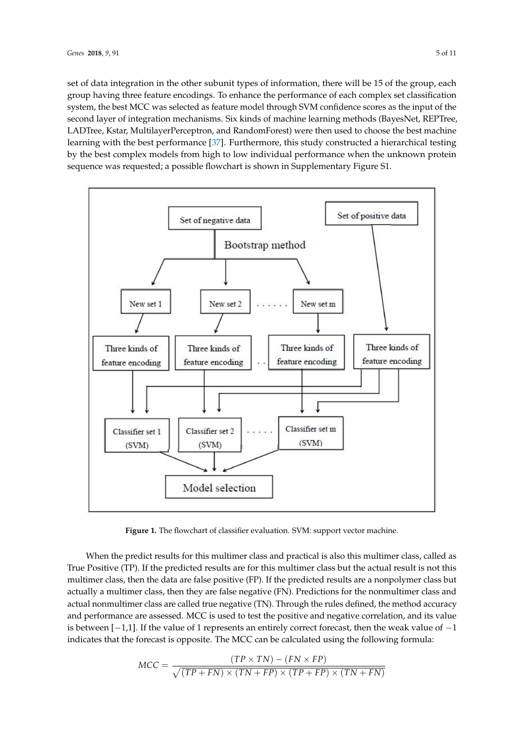set of data integration in the other subunit types of information, there will be 15 of the group, each group having three feature encodings. To enhance the performance of each complex set classification system, the best MCC was selected as feature model through SVM confidence scores as the input of the second layer of integration mechanisms. Six kinds of machine learning methods (BayesNet, REPTree, *Genes* **2018**, *9*, x FOR PEER REVIEW 5 of 10 LADTree, Kstar, MultilayerPerceptron, and RandomForest) were then used to choose the best machine learning with the best performance [\[37\]](#page-9-17). Furthermore, this study constructed a hierarchical testing by the best complex models from high to low individual performance when the unknown protein sequence was requested; a possible flowchart is shown in Supplementary Figure S1.

<span id="page-4-0"></span>

**Figure 1.** The flowchart of classifier evaluation. SVM: support vector machine. **Figure 1.** The flowchart of classifier evaluation. SVM: support vector machine.

When the predict results for this multimer class and practical is also this multimer class, called When the predict results for this multimer class and practical is also this multimer class, called as True Positive (TP). If the predicted results are for this multimer class but the actual result is not this  $\frac{1}{\sqrt{2}}$ multimer class, then the data are false positive (FP). If the predicted results are a nonpolymer class but actually a multimer class, then they are false negative (FN). Predictions for the nonmultimer class and actual nonmultimer class are called true negative (TN). Through the rules defined, the method accuracy and performance are assessed. MCC is used to test the positive and negative correlation, and its value is between [-1,1]. If the value of 1 represents an entirely correct forecast, then the weak value of -1 indicates that the forecast is opposite. The MCC can be calculated using the following formula:

$$
MCC = \frac{(TP \times TN) - (FN \times FP)}{\sqrt{(TP + FN) \times (TN + FP) \times (TP + FP) \times (TN + FN)}}
$$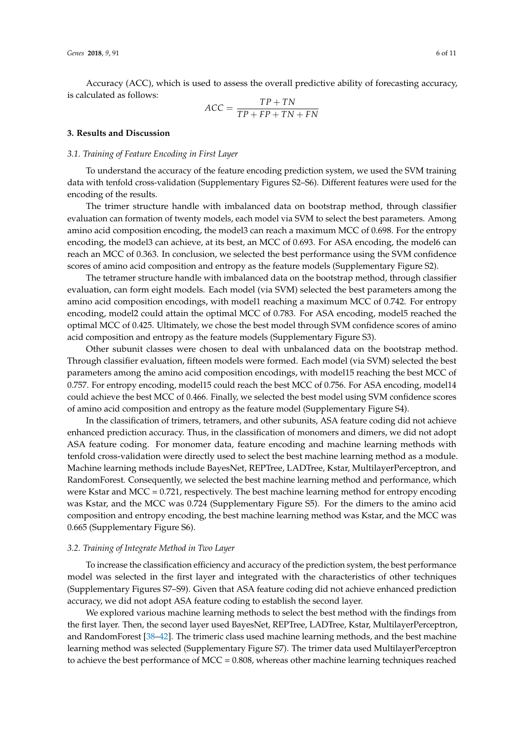Accuracy (ACC), which is used to assess the overall predictive ability of forecasting accuracy, is calculated as follows:

$$
ACC = \frac{TP + TN}{TP + FP + TN + FN}
$$

#### **3. Results and Discussion**

#### *3.1. Training of Feature Encoding in First Layer*

To understand the accuracy of the feature encoding prediction system, we used the SVM training data with tenfold cross-validation (Supplementary Figures S2–S6). Different features were used for the encoding of the results.

The trimer structure handle with imbalanced data on bootstrap method, through classifier evaluation can formation of twenty models, each model via SVM to select the best parameters. Among amino acid composition encoding, the model3 can reach a maximum MCC of 0.698. For the entropy encoding, the model3 can achieve, at its best, an MCC of 0.693. For ASA encoding, the model6 can reach an MCC of 0.363. In conclusion, we selected the best performance using the SVM confidence scores of amino acid composition and entropy as the feature models (Supplementary Figure S2).

The tetramer structure handle with imbalanced data on the bootstrap method, through classifier evaluation, can form eight models. Each model (via SVM) selected the best parameters among the amino acid composition encodings, with model1 reaching a maximum MCC of 0.742. For entropy encoding, model2 could attain the optimal MCC of 0.783. For ASA encoding, model5 reached the optimal MCC of 0.425. Ultimately, we chose the best model through SVM confidence scores of amino acid composition and entropy as the feature models (Supplementary Figure S3).

Other subunit classes were chosen to deal with unbalanced data on the bootstrap method. Through classifier evaluation, fifteen models were formed. Each model (via SVM) selected the best parameters among the amino acid composition encodings, with model15 reaching the best MCC of 0.757. For entropy encoding, model15 could reach the best MCC of 0.756. For ASA encoding, model14 could achieve the best MCC of 0.466. Finally, we selected the best model using SVM confidence scores of amino acid composition and entropy as the feature model (Supplementary Figure S4).

In the classification of trimers, tetramers, and other subunits, ASA feature coding did not achieve enhanced prediction accuracy. Thus, in the classification of monomers and dimers, we did not adopt ASA feature coding. For monomer data, feature encoding and machine learning methods with tenfold cross-validation were directly used to select the best machine learning method as a module. Machine learning methods include BayesNet, REPTree, LADTree, Kstar, MultilayerPerceptron, and RandomForest. Consequently, we selected the best machine learning method and performance, which were Kstar and MCC = 0.721, respectively. The best machine learning method for entropy encoding was Kstar, and the MCC was 0.724 (Supplementary Figure S5). For the dimers to the amino acid composition and entropy encoding, the best machine learning method was Kstar, and the MCC was 0.665 (Supplementary Figure S6).

#### *3.2. Training of Integrate Method in Two Layer*

To increase the classification efficiency and accuracy of the prediction system, the best performance model was selected in the first layer and integrated with the characteristics of other techniques (Supplementary Figures S7–S9). Given that ASA feature coding did not achieve enhanced prediction accuracy, we did not adopt ASA feature coding to establish the second layer.

We explored various machine learning methods to select the best method with the findings from the first layer. Then, the second layer used BayesNet, REPTree, LADTree, Kstar, MultilayerPerceptron, and RandomForest [\[38](#page-10-0)[–42\]](#page-10-1). The trimeric class used machine learning methods, and the best machine learning method was selected (Supplementary Figure S7). The trimer data used MultilayerPerceptron to achieve the best performance of MCC = 0.808, whereas other machine learning techniques reached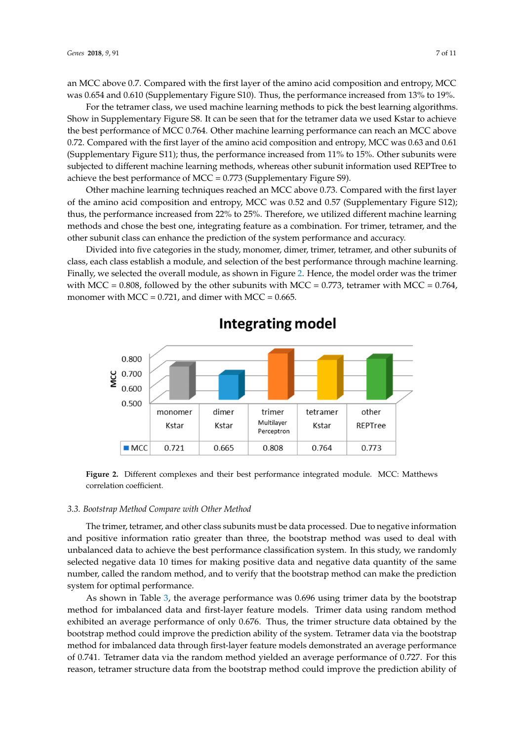an MCC above 0.7. Compared with the first layer of the amino acid composition and entropy, MCC was 0.654 and 0.610 (Supplementary Figure S10). Thus, the performance increased from 13% to 19%.

For the tetramer class, we used machine learning methods to pick the best learning algorithms. For the tetramer class, we used machine learning methods to pick the best learning algorithms. Show in Supplementary Figure S8. It can be seen that for the tetramer data we used Kstar to achieve Show in Supplementary Figure S8. It can be seen that for the tetramer data we used Kstar to achieve the best performance of MCC 0.764. Other machine learning performance can reach an MCC above the best performance of MCC 0.764. Other machine learning performance can reach an MCC above 0.72. Compared with the first layer of the amino acid composition and entropy, MCC was 0.63 and 0.61 0.72. Compared with the first layer of the amino acid composition and entropy, MCC was 0.63 and (Supplementary Figure S11); thus, the performance increased from  $11\%$  to  $15\%$ . Other subunits were subjected to different machine learning methods, whereas other subunit information used REPTree to achieve the best performance of MCC = 0.773 (Supplementary Figure S9).

Other machine learning techniques reached an MCC above 0.73. Compared with the first layer Other machine learning techniques reached an MCC above 0.73. Compared with the first layer of the amino acid composition and entropy, MCC was 0.52 and 0.57 (Supplementary Figure S12); of the amino acid composition and entropy, MCC was 0.52 and 0.57 (Supplementary Figure S12); thus, the performance increased from 22% to 25%. Therefore, we utilized different machine learning thus, the performance increased from 22% to 25%. Therefore, we utilized different machine learning methods and chose the best one, integrating feature as a combination. For trimer, tetramer, and the methods and chose the best one, integrating feature as a combination. For trimer, tetramer, and the other subunit class can enhance the prediction of the system performance and accuracy. other subunit class can enhance the prediction of the system performance and accuracy.

Divided into five categories in the study, monomer, dimer, trimer, tetramer, and other subunits of Divided into five categories in the study, monomer, dimer, trimer, tetramer, and other subunits class, each class establish a module, and selection of the best performance through machine learning. Finally, we selected the overall module, as show[n in](#page-6-0) Figure 2. Hence, the model order was the trimer with MCC = 0.808, followed by the other subunits with MCC = 0.773, tetramer with MCC = 0.764, monomer with MCC =  $0.721$ , and dimer with MCC =  $0.665$ .

<span id="page-6-0"></span>

# **Integrating model**

**Figure 2.** Different complexes and their best performance integrated module. MCC: Matthews **Figure 2.** Different complexes and their best performance integrated module. MCC: Matthews correlation coefficient. correlation coefficient.

# *3.3. Bootstrap Method Compare with Other Method 3.3. Bootstrap Method Compare with Other Method*

The trimer, tetramer, and other class subunits must be data processed. Due to negative The trimer, tetramer, and other class subunits must be data processed. Due to negative information and positive information ratio greater than three, the bootstrap method was used to deal with with unbalanced data to achieve the best performance classification system. In this study, we unbalanced data to achieve the best performance classification system. In this study, we randomly randomly selected negative data 10 times for making positive data and negative data quantity of the selected negative data 10 times for making positive data and negative data quantity of the same selected the random method, and the random method, and the random method, and the bootstrap method. number, called the random method, and to verify that the bootstrap method can make the prediction system for optimal performance.

As shown in Table 3, the average performance was 0.696 using trimer data by the bootstrap As shown in Table [3,](#page-7-0) the average performance was 0.696 using trimer data by the bootstrap method for imbalanced data and first-layer feature models. Trimer data using random method method for imbalanced data and first-layer feature models. Trimer data using random method exhibited an average performance of only 0.676. Thus, the trimer structure data obtained by the exhibited an average performance of only 0.676. Thus, the trimer structure data obtained by the bootstrap method could improve the provention ability of the system. The system of the bootstrap via the bootstrap via the bootstrap via the bootstrap via the bootstrap via the bootstrap via the bootstrap via the bootstrap bootstrap method could improve the prediction ability of the system. Tetramer data via the bootstrap bootstrap method for imbalanced data through first-layer feature models demonstrated an average performance<br>1. Co 744. The contract of the contract of the contract of the contract of the contract of the contract of the of 0.741. Tetramer data via the random method yielded an average performance of 0.727. For this of 0.741. reason, tetramer structure data from the bootstrap method could improve the prediction ability of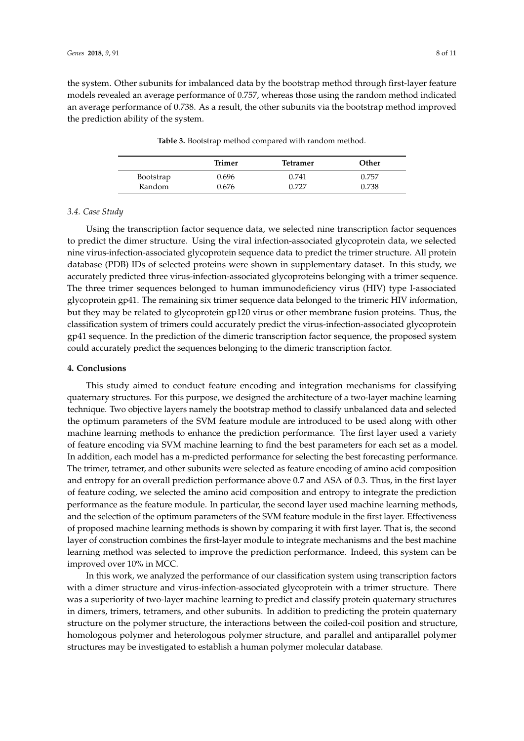<span id="page-7-0"></span>the system. Other subunits for imbalanced data by the bootstrap method through first-layer feature models revealed an average performance of 0.757, whereas those using the random method indicated an average performance of 0.738. As a result, the other subunits via the bootstrap method improved the prediction ability of the system.

|           | Trimer | <b>Tetramer</b> | Other |
|-----------|--------|-----------------|-------|
| Bootstrap | 0.696  | 0.741           | 0.757 |
| Random    | 0.676  | 0.727           | 0.738 |

**Table 3.** Bootstrap method compared with random method.

### *3.4. Case Study*

Using the transcription factor sequence data, we selected nine transcription factor sequences to predict the dimer structure. Using the viral infection-associated glycoprotein data, we selected nine virus-infection-associated glycoprotein sequence data to predict the trimer structure. All protein database (PDB) IDs of selected proteins were shown in supplementary dataset. In this study, we accurately predicted three virus-infection-associated glycoproteins belonging with a trimer sequence. The three trimer sequences belonged to human immunodeficiency virus (HIV) type I-associated glycoprotein gp41. The remaining six trimer sequence data belonged to the trimeric HIV information, but they may be related to glycoprotein gp120 virus or other membrane fusion proteins. Thus, the classification system of trimers could accurately predict the virus-infection-associated glycoprotein gp41 sequence. In the prediction of the dimeric transcription factor sequence, the proposed system could accurately predict the sequences belonging to the dimeric transcription factor.

#### **4. Conclusions**

This study aimed to conduct feature encoding and integration mechanisms for classifying quaternary structures. For this purpose, we designed the architecture of a two-layer machine learning technique. Two objective layers namely the bootstrap method to classify unbalanced data and selected the optimum parameters of the SVM feature module are introduced to be used along with other machine learning methods to enhance the prediction performance. The first layer used a variety of feature encoding via SVM machine learning to find the best parameters for each set as a model. In addition, each model has a m-predicted performance for selecting the best forecasting performance. The trimer, tetramer, and other subunits were selected as feature encoding of amino acid composition and entropy for an overall prediction performance above 0.7 and ASA of 0.3. Thus, in the first layer of feature coding, we selected the amino acid composition and entropy to integrate the prediction performance as the feature module. In particular, the second layer used machine learning methods, and the selection of the optimum parameters of the SVM feature module in the first layer. Effectiveness of proposed machine learning methods is shown by comparing it with first layer. That is, the second layer of construction combines the first-layer module to integrate mechanisms and the best machine learning method was selected to improve the prediction performance. Indeed, this system can be improved over 10% in MCC.

In this work, we analyzed the performance of our classification system using transcription factors with a dimer structure and virus-infection-associated glycoprotein with a trimer structure. There was a superiority of two-layer machine learning to predict and classify protein quaternary structures in dimers, trimers, tetramers, and other subunits. In addition to predicting the protein quaternary structure on the polymer structure, the interactions between the coiled-coil position and structure, homologous polymer and heterologous polymer structure, and parallel and antiparallel polymer structures may be investigated to establish a human polymer molecular database.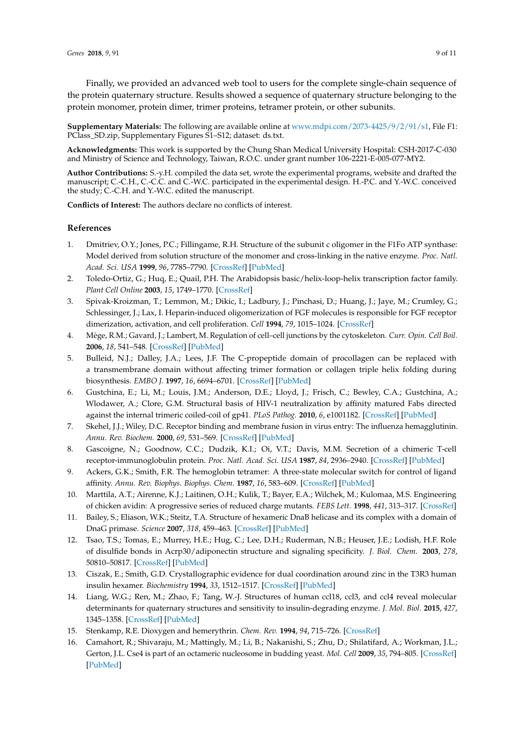Finally, we provided an advanced web tool to users for the complete single-chain sequence of the protein quaternary structure. Results showed a sequence of quaternary structure belonging to the protein monomer, protein dimer, trimer proteins, tetramer protein, or other subunits.

**Supplementary Materials:** The following are available online at [www.mdpi.com/2073-4425/9/2/91/s1,](www.mdpi.com/2073-4425/9/2/91/s1) File F1: PClass\_SD.zip, Supplementary Figures S1–S12; dataset: ds.txt.

**Acknowledgments:** This work is supported by the Chung Shan Medical University Hospital: CSH-2017-C-030 and Ministry of Science and Technology, Taiwan, R.O.C. under grant number 106-2221-E-005-077-MY2.

**Author Contributions:** S.-y.H. compiled the data set, wrote the experimental programs, website and drafted the manuscript; C.-C.H., C.-C.C. and C.-W.C. participated in the experimental design. H.-P.C. and Y.-W.C. conceived the study; C.-C.H. and Y.-W.C. edited the manuscript.

**Conflicts of Interest:** The authors declare no conflicts of interest.

# **References**

- <span id="page-8-0"></span>1. Dmitriev, O.Y.; Jones, P.C.; Fillingame, R.H. Structure of the subunit c oligomer in the F1Fo ATP synthase: Model derived from solution structure of the monomer and cross-linking in the native enzyme. *Proc. Natl. Acad. Sci. USA* **1999**, *96*, 7785–7790. [\[CrossRef\]](http://dx.doi.org/10.1073/pnas.96.14.7785) [\[PubMed\]](http://www.ncbi.nlm.nih.gov/pubmed/10393899)
- <span id="page-8-1"></span>2. Toledo-Ortiz, G.; Huq, E.; Quail, P.H. The Arabidopsis basic/helix-loop-helix transcription factor family. *Plant Cell Online* **2003**, *15*, 1749–1770. [\[CrossRef\]](http://dx.doi.org/10.1105/tpc.013839)
- <span id="page-8-2"></span>3. Spivak-Kroizman, T.; Lemmon, M.; Dikic, I.; Ladbury, J.; Pinchasi, D.; Huang, J.; Jaye, M.; Crumley, G.; Schlessinger, J.; Lax, I. Heparin-induced oligomerization of FGF molecules is responsible for FGF receptor dimerization, activation, and cell proliferation. *Cell* **1994**, *79*, 1015–1024. [\[CrossRef\]](http://dx.doi.org/10.1016/0092-8674(94)90032-9)
- <span id="page-8-3"></span>4. Mège, R.M.; Gavard, J.; Lambert, M. Regulation of cell–cell junctions by the cytoskeleton. *Curr. Opin. Cell Boil.* **2006**, *18*, 541–548. [\[CrossRef\]](http://dx.doi.org/10.1016/j.ceb.2006.08.004) [\[PubMed\]](http://www.ncbi.nlm.nih.gov/pubmed/16905303)
- <span id="page-8-4"></span>5. Bulleid, N.J.; Dalley, J.A.; Lees, J.F. The C-propeptide domain of procollagen can be replaced with a transmembrane domain without affecting trimer formation or collagen triple helix folding during biosynthesis. *EMBO J.* **1997**, *16*, 6694–6701. [\[CrossRef\]](http://dx.doi.org/10.1093/emboj/16.22.6694) [\[PubMed\]](http://www.ncbi.nlm.nih.gov/pubmed/9362484)
- <span id="page-8-5"></span>6. Gustchina, E.; Li, M.; Louis, J.M.; Anderson, D.E.; Lloyd, J.; Frisch, C.; Bewley, C.A.; Gustchina, A.; Wlodawer, A.; Clore, G.M. Structural basis of HIV-1 neutralization by affinity matured Fabs directed against the internal trimeric coiled-coil of gp41. *PLoS Pathog.* **2010**, *6*, e1001182. [\[CrossRef\]](http://dx.doi.org/10.1371/journal.ppat.1001182) [\[PubMed\]](http://www.ncbi.nlm.nih.gov/pubmed/21085615)
- <span id="page-8-6"></span>7. Skehel, J.J.; Wiley, D.C. Receptor binding and membrane fusion in virus entry: The influenza hemagglutinin. *Annu. Rev. Biochem.* **2000**, *69*, 531–569. [\[CrossRef\]](http://dx.doi.org/10.1146/annurev.biochem.69.1.531) [\[PubMed\]](http://www.ncbi.nlm.nih.gov/pubmed/10966468)
- <span id="page-8-7"></span>8. Gascoigne, N.; Goodnow, C.C.; Dudzik, K.I.; Oi, V.T.; Davis, M.M. Secretion of a chimeric T-cell receptor-immunoglobulin protein. *Proc. Natl. Acad. Sci. USA* **1987**, *84*, 2936–2940. [\[CrossRef\]](http://dx.doi.org/10.1073/pnas.84.9.2936) [\[PubMed\]](http://www.ncbi.nlm.nih.gov/pubmed/3472243)
- <span id="page-8-8"></span>9. Ackers, G.K.; Smith, F.R. The hemoglobin tetramer: A three-state molecular switch for control of ligand affinity. *Annu. Rev. Biophys. Biophys. Chem.* **1987**, *16*, 583–609. [\[CrossRef\]](http://dx.doi.org/10.1146/annurev.bb.16.060187.003055) [\[PubMed\]](http://www.ncbi.nlm.nih.gov/pubmed/3593506)
- <span id="page-8-9"></span>10. Marttila, A.T.; Airenne, K.J.; Laitinen, O.H.; Kulik, T.; Bayer, E.A.; Wilchek, M.; Kulomaa, M.S. Engineering of chicken avidin: A progressive series of reduced charge mutants. *FEBS Lett.* **1998**, *441*, 313–317. [\[CrossRef\]](http://dx.doi.org/10.1016/S0014-5793(98)01570-1)
- <span id="page-8-10"></span>11. Bailey, S.; Eliason, W.K.; Steitz, T.A. Structure of hexameric DnaB helicase and its complex with a domain of DnaG primase. *Science* **2007**, *318*, 459–463. [\[CrossRef\]](http://dx.doi.org/10.1126/science.1147353) [\[PubMed\]](http://www.ncbi.nlm.nih.gov/pubmed/17947583)
- <span id="page-8-11"></span>12. Tsao, T.S.; Tomas, E.; Murrey, H.E.; Hug, C.; Lee, D.H.; Ruderman, N.B.; Heuser, J.E.; Lodish, H.F. Role of disulfide bonds in Acrp30/adiponectin structure and signaling specificity. *J. Biol. Chem.* **2003**, *278*, 50810–50817. [\[CrossRef\]](http://dx.doi.org/10.1074/jbc.M309469200) [\[PubMed\]](http://www.ncbi.nlm.nih.gov/pubmed/14522956)
- <span id="page-8-12"></span>13. Ciszak, E.; Smith, G.D. Crystallographic evidence for dual coordination around zinc in the T3R3 human insulin hexamer. *Biochemistry* **1994**, *33*, 1512–1517. [\[CrossRef\]](http://dx.doi.org/10.1021/bi00172a030) [\[PubMed\]](http://www.ncbi.nlm.nih.gov/pubmed/8312271)
- <span id="page-8-13"></span>14. Liang, W.G.; Ren, M.; Zhao, F.; Tang, W.-J. Structures of human ccl18, ccl3, and ccl4 reveal molecular determinants for quaternary structures and sensitivity to insulin-degrading enzyme. *J. Mol. Biol.* **2015**, *427*, 1345–1358. [\[CrossRef\]](http://dx.doi.org/10.1016/j.jmb.2015.01.012) [\[PubMed\]](http://www.ncbi.nlm.nih.gov/pubmed/25636406)
- <span id="page-8-14"></span>15. Stenkamp, R.E. Dioxygen and hemerythrin. *Chem. Rev.* **1994**, *94*, 715–726. [\[CrossRef\]](http://dx.doi.org/10.1021/cr00027a008)
- <span id="page-8-15"></span>16. Camahort, R.; Shivaraju, M.; Mattingly, M.; Li, B.; Nakanishi, S.; Zhu, D.; Shilatifard, A.; Workman, J.L.; Gerton, J.L. Cse4 is part of an octameric nucleosome in budding yeast. *Mol. Cell* **2009**, *35*, 794–805. [\[CrossRef\]](http://dx.doi.org/10.1016/j.molcel.2009.07.022) [\[PubMed\]](http://www.ncbi.nlm.nih.gov/pubmed/19782029)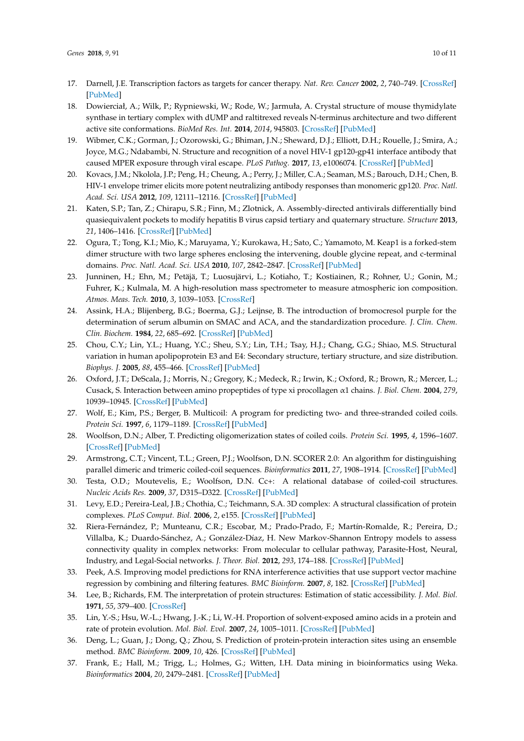- <span id="page-9-0"></span>17. Darnell, J.E. Transcription factors as targets for cancer therapy. *Nat. Rev. Cancer* **2002**, *2*, 740–749. [\[CrossRef\]](http://dx.doi.org/10.1038/nrc906) [\[PubMed\]](http://www.ncbi.nlm.nih.gov/pubmed/12360277)
- 18. Dowierciał, A.; Wilk, P.; Rypniewski, W.; Rode, W.; Jarmuła, A. Crystal structure of mouse thymidylate synthase in tertiary complex with dUMP and raltitrexed reveals N-terminus architecture and two different active site conformations. *BioMed Res. Int.* **2014**, *2014*, 945803. [\[CrossRef\]](http://dx.doi.org/10.1155/2014/945803) [\[PubMed\]](http://www.ncbi.nlm.nih.gov/pubmed/24995339)
- 19. Wibmer, C.K.; Gorman, J.; Ozorowski, G.; Bhiman, J.N.; Sheward, D.J.; Elliott, D.H.; Rouelle, J.; Smira, A.; Joyce, M.G.; Ndabambi, N. Structure and recognition of a novel HIV-1 gp120-gp41 interface antibody that caused MPER exposure through viral escape. *PLoS Pathog.* **2017**, *13*, e1006074. [\[CrossRef\]](http://dx.doi.org/10.1371/journal.ppat.1006074) [\[PubMed\]](http://www.ncbi.nlm.nih.gov/pubmed/28076415)
- 20. Kovacs, J.M.; Nkolola, J.P.; Peng, H.; Cheung, A.; Perry, J.; Miller, C.A.; Seaman, M.S.; Barouch, D.H.; Chen, B. HIV-1 envelope trimer elicits more potent neutralizing antibody responses than monomeric gp120. *Proc. Natl. Acad. Sci. USA* **2012**, *109*, 12111–12116. [\[CrossRef\]](http://dx.doi.org/10.1073/pnas.1204533109) [\[PubMed\]](http://www.ncbi.nlm.nih.gov/pubmed/22773820)
- <span id="page-9-1"></span>21. Katen, S.P.; Tan, Z.; Chirapu, S.R.; Finn, M.; Zlotnick, A. Assembly-directed antivirals differentially bind quasiequivalent pockets to modify hepatitis B virus capsid tertiary and quaternary structure. *Structure* **2013**, *21*, 1406–1416. [\[CrossRef\]](http://dx.doi.org/10.1016/j.str.2013.06.013) [\[PubMed\]](http://www.ncbi.nlm.nih.gov/pubmed/23871485)
- <span id="page-9-2"></span>22. Ogura, T.; Tong, K.I.; Mio, K.; Maruyama, Y.; Kurokawa, H.; Sato, C.; Yamamoto, M. Keap1 is a forked-stem dimer structure with two large spheres enclosing the intervening, double glycine repeat, and c-terminal domains. *Proc. Natl. Acad. Sci. USA* **2010**, *107*, 2842–2847. [\[CrossRef\]](http://dx.doi.org/10.1073/pnas.0914036107) [\[PubMed\]](http://www.ncbi.nlm.nih.gov/pubmed/20133743)
- <span id="page-9-3"></span>23. Junninen, H.; Ehn, M.; Petäjä, T.; Luosujärvi, L.; Kotiaho, T.; Kostiainen, R.; Rohner, U.; Gonin, M.; Fuhrer, K.; Kulmala, M. A high-resolution mass spectrometer to measure atmospheric ion composition. *Atmos. Meas. Tech.* **2010**, *3*, 1039–1053. [\[CrossRef\]](http://dx.doi.org/10.5194/amt-3-1039-2010)
- <span id="page-9-4"></span>24. Assink, H.A.; Blijenberg, B.G.; Boerma, G.J.; Leijnse, B. The introduction of bromocresol purple for the determination of serum albumin on SMAC and ACA, and the standardization procedure. *J. Clin. Chem. Clin. Biochem.* **1984**, *22*, 685–692. [\[CrossRef\]](http://dx.doi.org/10.1515/cclm.1984.22.10.685) [\[PubMed\]](http://www.ncbi.nlm.nih.gov/pubmed/6512498)
- <span id="page-9-5"></span>25. Chou, C.Y.; Lin, Y.L.; Huang, Y.C.; Sheu, S.Y.; Lin, T.H.; Tsay, H.J.; Chang, G.G.; Shiao, M.S. Structural variation in human apolipoprotein E3 and E4: Secondary structure, tertiary structure, and size distribution. *Biophys. J.* **2005**, *88*, 455–466. [\[CrossRef\]](http://dx.doi.org/10.1529/biophysj.104.046813) [\[PubMed\]](http://www.ncbi.nlm.nih.gov/pubmed/15475580)
- <span id="page-9-6"></span>26. Oxford, J.T.; DeScala, J.; Morris, N.; Gregory, K.; Medeck, R.; Irwin, K.; Oxford, R.; Brown, R.; Mercer, L.; Cusack, S. Interaction between amino propeptides of type xi procollagen α1 chains. *J. Biol. Chem.* **2004**, *279*, 10939–10945. [\[CrossRef\]](http://dx.doi.org/10.1074/jbc.M310291200) [\[PubMed\]](http://www.ncbi.nlm.nih.gov/pubmed/14699108)
- <span id="page-9-7"></span>27. Wolf, E.; Kim, P.S.; Berger, B. Multicoil: A program for predicting two- and three-stranded coiled coils. *Protein Sci.* **1997**, *6*, 1179–1189. [\[CrossRef\]](http://dx.doi.org/10.1002/pro.5560060606) [\[PubMed\]](http://www.ncbi.nlm.nih.gov/pubmed/9194178)
- <span id="page-9-8"></span>28. Woolfson, D.N.; Alber, T. Predicting oligomerization states of coiled coils. *Protein Sci.* **1995**, *4*, 1596–1607. [\[CrossRef\]](http://dx.doi.org/10.1002/pro.5560040818) [\[PubMed\]](http://www.ncbi.nlm.nih.gov/pubmed/8520486)
- <span id="page-9-9"></span>29. Armstrong, C.T.; Vincent, T.L.; Green, P.J.; Woolfson, D.N. SCORER 2.0: An algorithm for distinguishing parallel dimeric and trimeric coiled-coil sequences. *Bioinformatics* **2011**, *27*, 1908–1914. [\[CrossRef\]](http://dx.doi.org/10.1093/bioinformatics/btr299) [\[PubMed\]](http://www.ncbi.nlm.nih.gov/pubmed/21576179)
- <span id="page-9-10"></span>30. Testa, O.D.; Moutevelis, E.; Woolfson, D.N. Cc+: A relational database of coiled-coil structures. *Nucleic Acids Res.* **2009**, *37*, D315–D322. [\[CrossRef\]](http://dx.doi.org/10.1093/nar/gkn675) [\[PubMed\]](http://www.ncbi.nlm.nih.gov/pubmed/18842638)
- <span id="page-9-11"></span>31. Levy, E.D.; Pereira-Leal, J.B.; Chothia, C.; Teichmann, S.A. 3D complex: A structural classification of protein complexes. *PLoS Comput. Biol.* **2006**, *2*, e155. [\[CrossRef\]](http://dx.doi.org/10.1371/journal.pcbi.0020155) [\[PubMed\]](http://www.ncbi.nlm.nih.gov/pubmed/17112313)
- <span id="page-9-12"></span>32. Riera-Fernández, P.; Munteanu, C.R.; Escobar, M.; Prado-Prado, F.; Martín-Romalde, R.; Pereira, D.; Villalba, K.; Duardo-Sánchez, A.; González-Díaz, H. New Markov-Shannon Entropy models to assess connectivity quality in complex networks: From molecular to cellular pathway, Parasite-Host, Neural, Industry, and Legal-Social networks. *J. Theor. Biol.* **2012**, *293*, 174–188. [\[CrossRef\]](http://dx.doi.org/10.1016/j.jtbi.2011.10.016) [\[PubMed\]](http://www.ncbi.nlm.nih.gov/pubmed/22037044)
- <span id="page-9-13"></span>33. Peek, A.S. Improving model predictions for RNA interference activities that use support vector machine regression by combining and filtering features. *BMC Bioinform.* **2007**, *8*, 182. [\[CrossRef\]](http://dx.doi.org/10.1186/1471-2105-8-182) [\[PubMed\]](http://www.ncbi.nlm.nih.gov/pubmed/17553157)
- <span id="page-9-14"></span>34. Lee, B.; Richards, F.M. The interpretation of protein structures: Estimation of static accessibility. *J. Mol. Biol.* **1971**, *55*, 379–400. [\[CrossRef\]](http://dx.doi.org/10.1016/0022-2836(71)90324-X)
- <span id="page-9-15"></span>35. Lin, Y.-S.; Hsu, W.-L.; Hwang, J.-K.; Li, W.-H. Proportion of solvent-exposed amino acids in a protein and rate of protein evolution. *Mol. Biol. Evol.* **2007**, *24*, 1005–1011. [\[CrossRef\]](http://dx.doi.org/10.1093/molbev/msm019) [\[PubMed\]](http://www.ncbi.nlm.nih.gov/pubmed/17264066)
- <span id="page-9-16"></span>36. Deng, L.; Guan, J.; Dong, Q.; Zhou, S. Prediction of protein-protein interaction sites using an ensemble method. *BMC Bioinform.* **2009**, *10*, 426. [\[CrossRef\]](http://dx.doi.org/10.1186/1471-2105-10-426) [\[PubMed\]](http://www.ncbi.nlm.nih.gov/pubmed/20015386)
- <span id="page-9-17"></span>37. Frank, E.; Hall, M.; Trigg, L.; Holmes, G.; Witten, I.H. Data mining in bioinformatics using Weka. *Bioinformatics* **2004**, *20*, 2479–2481. [\[CrossRef\]](http://dx.doi.org/10.1093/bioinformatics/bth261) [\[PubMed\]](http://www.ncbi.nlm.nih.gov/pubmed/15073010)